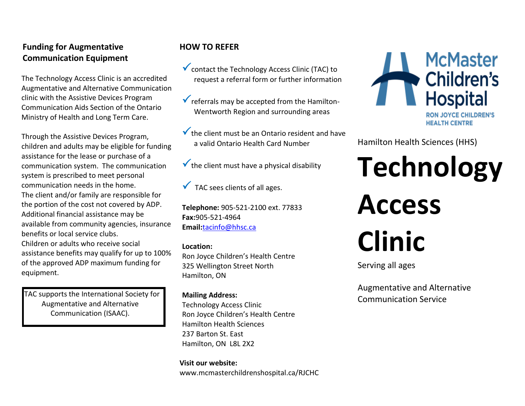# **Funding for Augmentative Communication Equipment**

The Technology Access Clinic is an accredited Augmentative and Alternative Communication clinic with the Assistive Devices Program Communication Aids Section of the Ontario Ministry of Health and Long Term Care.

Through the Assistive Devices Program, children and adults may be eligible for funding assistance for the lease or purchase of a communication system. The communication system is prescribed to meet personal communication needs in the home. The client and/or family are responsible for the portion of the cost not covered by ADP. Additional financial assistance may be available from community agencies, insurance benefits or local service clubs. Children or adults who receive social assistance benefits may qualify for up to 100% of the approved ADP maximum funding for

 TAC supports the International Society for Augmentative and Alternative Communication (ISAAC).

equipment.

# **HOW TO REFER**

- Contact the Technology Access Clinic (TAC) to request a referral form or further information
- $\checkmark$  referrals may be accepted from the Hamilton-Wentworth Region and surrounding areas
- $\checkmark$  the client must be an Ontario resident and have a valid Ontario Health Card Number
- $\checkmark$  the client must have a physical disability

 $\sqrt{\phantom{a}}$  TAC sees clients of all ages.

**Telephone:** 905-521-2100 ext. 77833 **Fax:**905-521-4964 **Email:**[tacinfo@hhsc.ca](mailto:tacinfo@hhsc.ca)

#### **Location:**

Ron Joyce Children's Health Centre 325 Wellington Street North Hamilton, ON

#### **Mailing Address:**

Technology Access Clinic Ron Joyce Children's Health Centre Hamilton Health Sciences 237 Barton St. East Hamilton, ON L8L 2X2

**Visit our website:** www.mcmasterchildrenshospital.ca/RJCHC



Hamilton Health Sciences (HHS)

**Technology Access Clinic**

Serving all ages

Augmentative and Alternative Communication Service